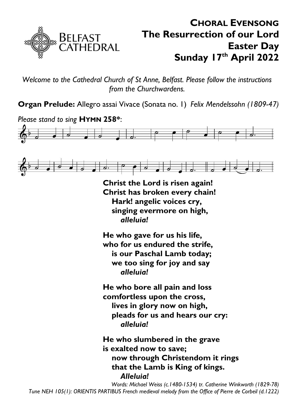

# **CHORAL EVENSONG The Resurrection of our Lord Easter Day Sunday 17 th April 2022**

*Welcome to the Cathedral Church of St Anne, Belfast. Please follow the instructions from the Churchwardens.*

**Organ Prelude:** Allegro assai Vivace (Sonata no. 1) *Felix Mendelssohn (1809-47)*





**Christ the Lord is risen again! Christ has broken every chain! Hark! angelic voices cry, singing evermore on high,** *alleluia!*

**He who gave for us his life, who for us endured the strife, is our Paschal Lamb today; we too sing for joy and say** *alleluia!*

**He who bore all pain and loss comfortless upon the cross, lives in glory now on high, pleads for us and hears our cry:** *alleluia!*

**He who slumbered in the grave is exalted now to save; now through Christendom it rings that the Lamb is King of kings.** *Alleluia!*

*Words: Michael Weiss (c.1480-1534) tr. Catherine Winkworth (1829-78) Tune NEH 105(1): ORIENTIS PARTIBUS French medieval melody from the Office of Pierre de Corbeil (d.1222)*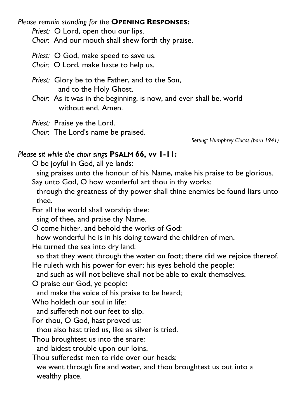*Please remain standing for the* **OPENING RESPONSES:**

*Priest:* O Lord, open thou our lips.

*Choir:* And our mouth shall shew forth thy praise.

*Priest:* O God, make speed to save us.

*Choir:* O Lord, make haste to help us.

*Priest:* Glory be to the Father, and to the Son, and to the Holy Ghost.

*Choir:* As it was in the beginning, is now, and ever shall be, world without end. Amen.

*Priest:* Praise ye the Lord.

*Choir:* The Lord's name be praised.

*Setting: Humphrey Clucas (born 1941)*

# *Please sit while the choir sings* **PSALM 66, vv 1-11:**

O be joyful in God, all ye lands:

sing praises unto the honour of his Name, make his praise to be glorious. Say unto God, O how wonderful art thou in thy works:

through the greatness of thy power shall thine enemies be found liars unto thee.

For all the world shall worship thee:

sing of thee, and praise thy Name.

O come hither, and behold the works of God:

how wonderful he is in his doing toward the children of men.

He turned the sea into dry land:

so that they went through the water on foot; there did we rejoice thereof. He ruleth with his power for ever; his eyes behold the people:

and such as will not believe shall not be able to exalt themselves.

O praise our God, ye people:

and make the voice of his praise to be heard;

Who holdeth our soul in life:

and suffereth not our feet to slip.

For thou, O God, hast proved us:

thou also hast tried us, like as silver is tried.

Thou broughtest us into the snare:

and laidest trouble upon our loins.

Thou sufferedst men to ride over our heads:

we went through fire and water, and thou broughtest us out into a wealthy place.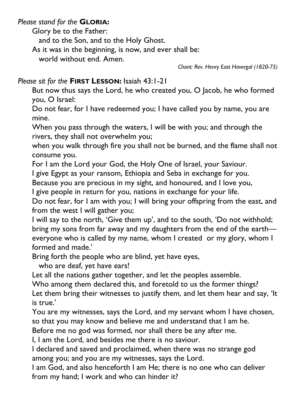#### *Please stand for the* **GLORIA:**

Glory be to the Father:

and to the Son, and to the Holy Ghost.

As it was in the beginning, is now, and ever shall be:

world without end. Amen.

*Chant: Rev. Henry East Havergal (1820-75)*

# *Please sit for the* **FIRST LESSON:** Isaiah 43:1-21

But now thus says the Lord, he who created you, O Jacob, he who formed you, O Israel:

Do not fear, for I have redeemed you; I have called you by name, you are mine.

When you pass through the waters, I will be with you; and through the rivers, they shall not overwhelm you;

when you walk through fire you shall not be burned, and the flame shall not consume you.

For I am the Lord your God, the Holy One of Israel, your Saviour.

I give Egypt as your ransom, Ethiopia and Seba in exchange for you.

Because you are precious in my sight, and honoured, and I love you,

I give people in return for you, nations in exchange for your life.

Do not fear, for I am with you; I will bring your offspring from the east, and from the west I will gather you;

I will say to the north, 'Give them up', and to the south, 'Do not withhold; bring my sons from far away and my daughters from the end of the earth everyone who is called by my name, whom I created or my glory, whom I formed and made.'

Bring forth the people who are blind, yet have eyes,

who are deaf, yet have ears!

Let all the nations gather together, and let the peoples assemble.

Who among them declared this, and foretold to us the former things? Let them bring their witnesses to justify them, and let them hear and say, 'It is true.'

You are my witnesses, says the Lord, and my servant whom I have chosen, so that you may know and believe me and understand that I am he.

Before me no god was formed, nor shall there be any after me.

I, I am the Lord, and besides me there is no saviour.

I declared and saved and proclaimed, when there was no strange god among you; and you are my witnesses, says the Lord.

I am God, and also henceforth I am He; there is no one who can deliver from my hand; I work and who can hinder it?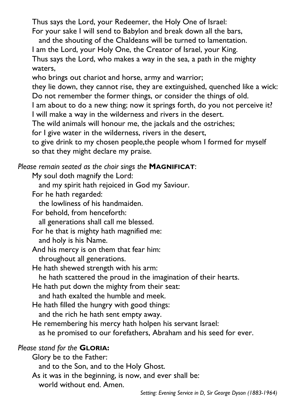Thus says the Lord, your Redeemer, the Holy One of Israel:

For your sake I will send to Babylon and break down all the bars,

and the shouting of the Chaldeans will be turned to lamentation.

I am the Lord, your Holy One, the Creator of Israel, your King. Thus says the Lord, who makes a way in the sea, a path in the mighty waters,

who brings out chariot and horse, army and warrior;

they lie down, they cannot rise, they are extinguished, quenched like a wick: Do not remember the former things, or consider the things of old.

I am about to do a new thing; now it springs forth, do you not perceive it? I will make a way in the wilderness and rivers in the desert.

The wild animals will honour me, the jackals and the ostriches;

for I give water in the wilderness, rivers in the desert,

to give drink to my chosen people,the people whom I formed for myself so that they might declare my praise.

# *Please remain seated as the choir sings the* **MAGNIFICAT**:

My soul doth magnify the Lord:

and my spirit hath rejoiced in God my Saviour.

For he hath regarded:

the lowliness of his handmaiden.

For behold, from henceforth:

all generations shall call me blessed.

For he that is mighty hath magnified me:

and holy is his Name.

And his mercy is on them that fear him:

throughout all generations.

He hath shewed strength with his arm:

he hath scattered the proud in the imagination of their hearts.

He hath put down the mighty from their seat:

and hath exalted the humble and meek.

He hath filled the hungry with good things:

and the rich he hath sent empty away.

He remembering his mercy hath holpen his servant Israel:

as he promised to our forefathers, Abraham and his seed for ever.

# *Please stand for the* **GLORIA:**

Glory be to the Father:

and to the Son, and to the Holy Ghost.

As it was in the beginning, is now, and ever shall be:

world without end. Amen.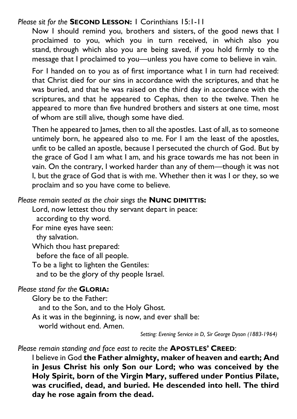#### *Please sit for the* **SECOND LESSON:** 1 Corinthians 15:1-11

Now I should remind you, brothers and sisters, of the good news that I proclaimed to you, which you in turn received, in which also you stand, through which also you are being saved, if you hold firmly to the message that I proclaimed to you—unless you have come to believe in vain.

For I handed on to you as of first importance what I in turn had received: that Christ died for our sins in accordance with the scriptures, and that he was buried, and that he was raised on the third day in accordance with the scriptures, and that he appeared to Cephas, then to the twelve. Then he appeared to more than five hundred brothers and sisters at one time, most of whom are still alive, though some have died.

Then he appeared to James, then to all the apostles. Last of all, as to someone untimely born, he appeared also to me. For I am the least of the apostles, unfit to be called an apostle, because I persecuted the church of God. But by the grace of God I am what I am, and his grace towards me has not been in vain. On the contrary, I worked harder than any of them—though it was not I, but the grace of God that is with me. Whether then it was I or they, so we proclaim and so you have come to believe.

#### *Please remain seated as the choir sings the* **NUNC DIMITTIS:**

Lord, now lettest thou thy servant depart in peace:

according to thy word.

For mine eyes have seen:

thy salvation.

Which thou hast prepared:

before the face of all people.

To be a light to lighten the Gentiles:

and to be the glory of thy people Israel.

#### *Please stand for the* **GLORIA:**

Glory be to the Father: and to the Son, and to the Holy Ghost. As it was in the beginning, is now, and ever shall be: world without end. Amen.

*Setting: Evening Service in D, Sir George Dyson (1883-1964)*

#### *Please remain standing and face east to recite the* **APOSTLES' CREED**:

I believe in God **the Father almighty, maker of heaven and earth; And in Jesus Christ his only Son our Lord; who was conceived by the Holy Spirit, born of the Virgin Mary, suffered under Pontius Pilate, was crucified, dead, and buried. He descended into hell. The third day he rose again from the dead.**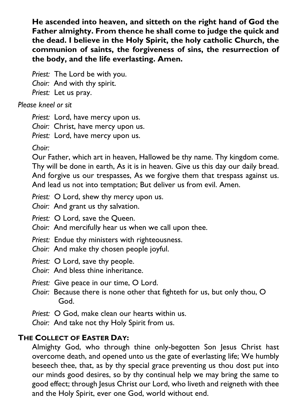**He ascended into heaven, and sitteth on the right hand of God the Father almighty. From thence he shall come to judge the quick and the dead. I believe in the Holy Spirit, the holy catholic Church, the communion of saints, the forgiveness of sins, the resurrection of the body, and the life everlasting. Amen.**

*Priest:* The Lord be with you. *Choir:* And with thy spirit. *Priest:* Let us pray.

*Please kneel or sit*

*Priest:* Lord, have mercy upon us.

*Choir:* Christ, have mercy upon us.

*Priest:* Lord, have mercy upon us.

*Choir:*

Our Father, which art in heaven, Hallowed be thy name. Thy kingdom come. Thy will be done in earth, As it is in heaven. Give us this day our daily bread. And forgive us our trespasses, As we forgive them that trespass against us. And lead us not into temptation; But deliver us from evil. Amen.

*Priest:* O Lord, shew thy mercy upon us.

*Choir:* And grant us thy salvation.

*Priest:* O Lord, save the Queen.

*Choir:* And mercifully hear us when we call upon thee.

*Priest:* Endue thy ministers with righteousness.

*Choir:* And make thy chosen people joyful.

*Priest:* O Lord, save thy people.

*Choir:* And bless thine inheritance.

- *Priest:* Give peace in our time, O Lord.
- *Choir:* Because there is none other that fighteth for us, but only thou, O God.
- *Priest:* O God, make clean our hearts within us.

*Choir:* And take not thy Holy Spirit from us.

# **THE COLLECT OF EASTER DAY:**

Almighty God, who through thine only-begotten Son Jesus Christ hast overcome death, and opened unto us the gate of everlasting life; We humbly beseech thee, that, as by thy special grace preventing us thou dost put into our minds good desires, so by thy continual help we may bring the same to good effect; through Jesus Christ our Lord, who liveth and reigneth with thee and the Holy Spirit, ever one God, world without end.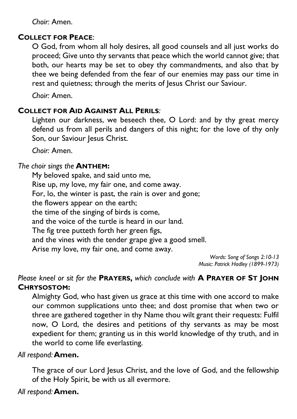*Choir:* Amen.

# **COLLECT FOR PEACE**:

O God, from whom all holy desires, all good counsels and all just works do proceed; Give unto thy servants that peace which the world cannot give; that both, our hearts may be set to obey thy commandments, and also that by thee we being defended from the fear of our enemies may pass our time in rest and quietness; through the merits of Jesus Christ our Saviour.

*Choir:* Amen.

# **COLLECT FOR AID AGAINST ALL PERILS***:*

Lighten our darkness, we beseech thee, O Lord: and by thy great mercy defend us from all perils and dangers of this night; for the love of thy only Son, our Saviour Jesus Christ.

*Choir:* Amen.

#### *The choir sings the* **ANTHEM:**

My beloved spake, and said unto me, Rise up, my love, my fair one, and come away. For, lo, the winter is past, the rain is over and gone; the flowers appear on the earth; the time of the singing of birds is come, and the voice of the turtle is heard in our land. The fig tree putteth forth her green figs, and the vines with the tender grape give a good smell. Arise my love, my fair one, and come away.

*Words: Song of Songs 2:10-13 Music: Patrick Hadley (1899-1973)*

*Please kneel or sit for the* **PRAYERS,** *which conclude with* **A PRAYER OF ST JOHN CHRYSOSTOM:**

Almighty God, who hast given us grace at this time with one accord to make our common supplications unto thee; and dost promise that when two or three are gathered together in thy Name thou wilt grant their requests: Fulfil now, O Lord, the desires and petitions of thy servants as may be most expedient for them; granting us in this world knowledge of thy truth, and in the world to come life everlasting.

#### *All respond:***Amen.**

The grace of our Lord Jesus Christ, and the love of God, and the fellowship of the Holy Spirit, be with us all evermore.

*All respond:***Amen.**